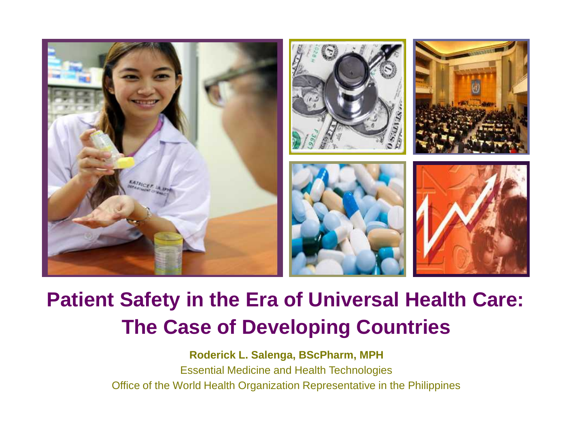

#### **Patient Safety in the Era of Universal Health Care: The Case of Developing Countries**

**Roderick L. Salenga, BScPharm, MPH** Essential Medicine and Health Technologies Office of the World Health Organization Representative in the Philippines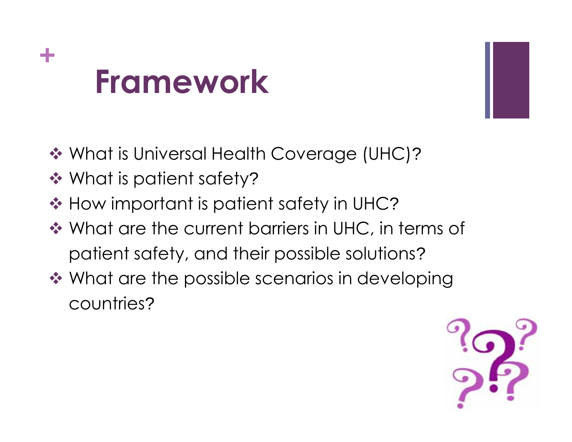## **+ Framework**



- ◆ What is Universal Health Coverage (UHC)?
- **❖ What is patient safety?**
- **❖ How important is patient safety in UHC?**
- ◆ What are the current barriers in UHC, in terms of patient safety, and their possible solutions?
- **❖ What are the possible scenarios in developing** countries?

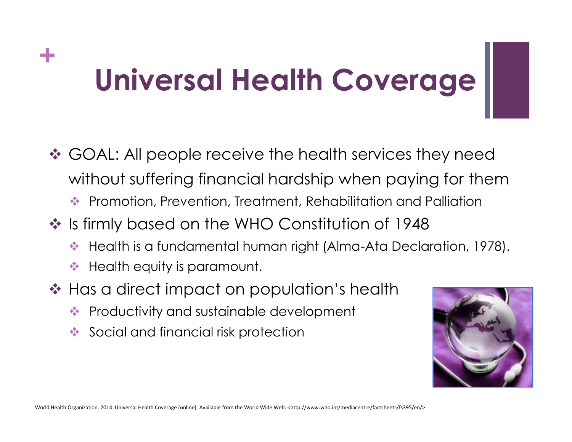### **+ Universal Health Coverage**

- **☆ GOAL: All people receive the health services they need** without suffering financial hardship when paying for them
	- ◆ Promotion, Prevention, Treatment, Rehabilitation and Palliation
- ◆ Is firmly based on the WHO Constitution of 1948
	- Health is a fundamental human right (Alma-Ata Declaration, 1978).
	- $\triangleq$  Health equity is paramount.
- ❖ Has a direct impact on population's health
	- **◆ Productivity and sustainable development**
	- Social and financial risk protection

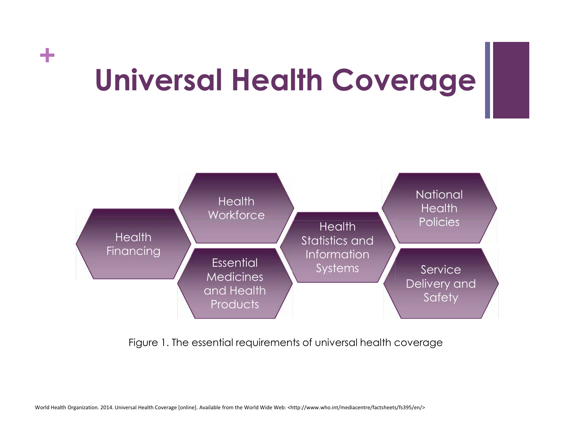## **+ Universal Health Coverage**



Figure 1. The essential requirements of universal health coverage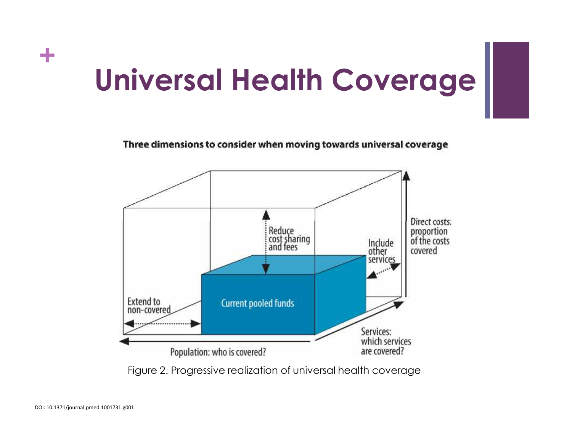### **+ Universal Health Coverage**

Three dimensions to consider when moving towards universal coverage



Figure 2. Progressive realization of universal health coverage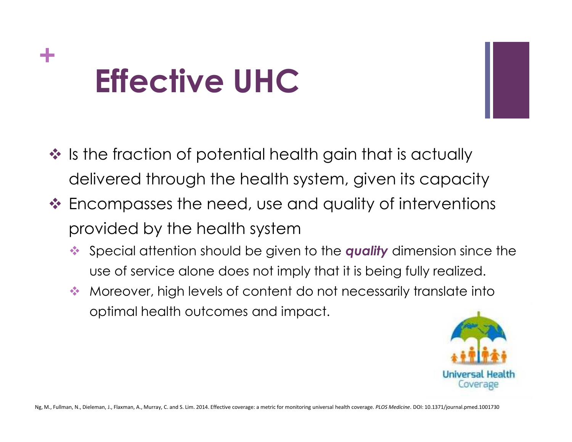## **+ Effective UHC**

- $\cdot$  Is the fraction of potential health gain that is actually delivered through the health system, given its capacity
- ❖ Encompasses the need, use and quality of interventions provided by the health system
	- Special attention should be given to the *quality* dimension since the use of service alone does not imply that it is being fully realized.
	- Moreover, high levels of content do not necessarily translate into optimal health outcomes and impact.



Ng, M., Fullman, N., Dieleman, J., Flaxman, A., Murray, C. and S. Lim. 2014. Effective coverage: a metric for monitoring universal health coverage. *PLOS Medicine*. DOI: 10.1371/journal.pmed.1001730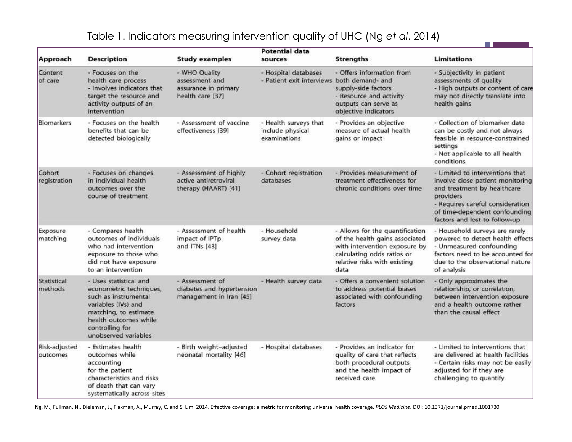| Table 1. Indicators measuring intervention quality of UHC (Ng et al, 2014) |
|----------------------------------------------------------------------------|
|----------------------------------------------------------------------------|

**The Community** 

and a

| Approach                      | <b>Description</b>                                                                                                                                                                            | <b>Study examples</b>                                                       | <b>Potential data</b><br>sources                                   | <b>Strengths</b>                                                                                                                                                         | <b>Limitations</b>                                                                                                                                                                                                    |
|-------------------------------|-----------------------------------------------------------------------------------------------------------------------------------------------------------------------------------------------|-----------------------------------------------------------------------------|--------------------------------------------------------------------|--------------------------------------------------------------------------------------------------------------------------------------------------------------------------|-----------------------------------------------------------------------------------------------------------------------------------------------------------------------------------------------------------------------|
| Content<br>of care            | - Focuses on the<br>health care process<br>- Involves indicators that<br>target the resource and<br>activity outputs of an<br>intervention                                                    | - WHO Quality<br>assessment and<br>assurance in primary<br>health care [37] | - Hospital databases<br>- Patient exit interviews both demand- and | - Offers information from<br>supply-side factors<br>- Resource and activity<br>outputs can serve as<br>objective indicators                                              | - Subjectivity in patient<br>assessments of quality<br>- High outputs or content of care<br>may not directly translate into<br>health gains                                                                           |
| <b>Biomarkers</b>             | - Focuses on the health<br>benefits that can be<br>detected biologically                                                                                                                      | - Assessment of vaccine<br>effectiveness [39]                               | - Health surveys that<br>include physical<br>examinations          | - Provides an objective<br>measure of actual health<br>gains or impact                                                                                                   | - Collection of biomarker data<br>can be costly and not always<br>feasible in resource-constrained<br>settings<br>- Not applicable to all health<br>conditions                                                        |
| Cohort<br>registration        | - Focuses on changes<br>in individual health<br>outcomes over the<br>course of treatment                                                                                                      | - Assessment of highly<br>active antiretroviral<br>therapy (HAART) [41]     | - Cohort registration<br>databases                                 | - Provides measurement of<br>treatment effectiveness for<br>chronic conditions over time                                                                                 | - Limited to interventions that<br>involve close patient monitoring<br>and treatment by healthcare<br>providers<br>- Requires careful consideration<br>of time-dependent confounding<br>factors and lost to follow-up |
| Exposure<br>matching          | - Compares health<br>outcomes of individuals<br>who had intervention<br>exposure to those who<br>did not have exposure<br>to an intervention                                                  | - Assessment of health<br>impact of IPTp<br>and ITNs [43]                   | - Household<br>survey data                                         | - Allows for the quantification<br>of the health gains associated<br>with intervention exposure by<br>calculating odds ratios or<br>relative risks with existing<br>data | - Household surveys are rarely<br>powered to detect health effects<br>- Unmeasured confounding<br>factors need to be accounted for<br>due to the observational nature<br>of analysis                                  |
| <b>Statistical</b><br>methods | - Uses statistical and<br>econometric techniques,<br>such as instrumental<br>variables (IVs) and<br>matching, to estimate<br>health outcomes while<br>controlling for<br>unobserved variables | - Assessment of<br>diabetes and hypertension<br>management in Iran [45]     | - Health survey data                                               | - Offers a convenient solution<br>to address potential biases<br>associated with confounding<br>factors                                                                  | - Only approximates the<br>relationship, or correlation,<br>between intervention exposure<br>and a health outcome rather<br>than the causal effect                                                                    |
| Risk-adjusted<br>outcomes     | - Estimates health<br>outcomes while<br>accounting<br>for the patient<br>characteristics and risks<br>of death that can vary<br>systematically across sites                                   | - Birth weight-adjusted<br>neonatal mortality [46]                          | - Hospital databases                                               | - Provides an indicator for<br>quality of care that reflects<br>both procedural outputs<br>and the health impact of<br>received care                                     | - Limited to interventions that<br>are delivered at health facilities<br>- Certain risks may not be easily<br>adjusted for if they are<br>challenging to quantify                                                     |

Ng, M., Fullman, N., Dieleman, J., Flaxman, A., Murray, C. and S. Lim. 2014. Effective coverage: a metric for monitoring universal health coverage. *PLOS Medicine*. DOI: 10.1371/journal.pmed.1001730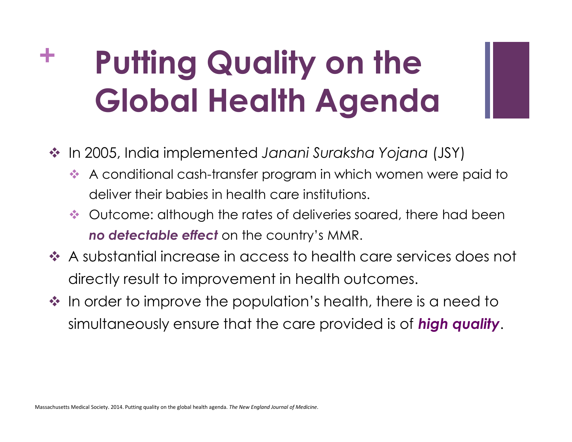## **+ Putting Quality on the Global Health Agenda**

- In 2005, India implemented *Janani Suraksha Yojana* (JSY)
	- A conditional cash-transfer program in which women were paid to deliver their babies in health care institutions.
	- $\leftrightarrow$  Outcome: although the rates of deliveries soared, there had been *no detectable effect* on the country's MMR.
- A substantial increase in access to health care services does not directly result to improvement in health outcomes.
- $\cdot$  In order to improve the population's health, there is a need to simultaneously ensure that the care provided is of *high quality*.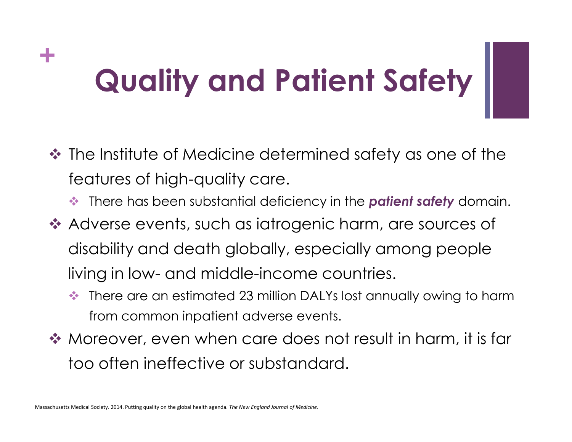## **+ Quality and Patient Safety**

- The Institute of Medicine determined safety as one of the features of high-quality care.
	- There has been substantial deficiency in the *patient safety* domain.
- ◆ Adverse events, such as iatrogenic harm, are sources of disability and death globally, especially among people living in low- and middle-income countries.
	- ◆ There are an estimated 23 million DALYs lost annually owing to harm from common inpatient adverse events.
- ◆ Moreover, even when care does not result in harm, it is far too often ineffective or substandard.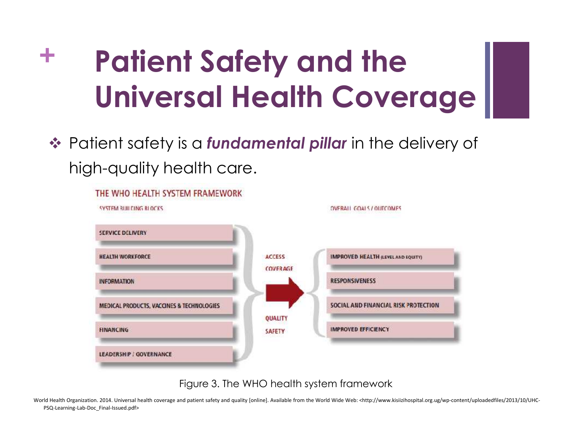## **+ Patient Safety and the Universal Health Coverage**

 Patient safety is a *fundamental pillar* in the delivery of high-quality health care.



Figure 3. The WHO health system framework

World Health Organization. 2014. Universal health coverage and patient safety and quality [online]. Available from the World Wide Web: <http://www.kisiizihospital.org.ug/wp-content/uploadedfiles/2013/10/UHC-PSQ-Learning-Lab-Doc\_Final-Issued.pdf>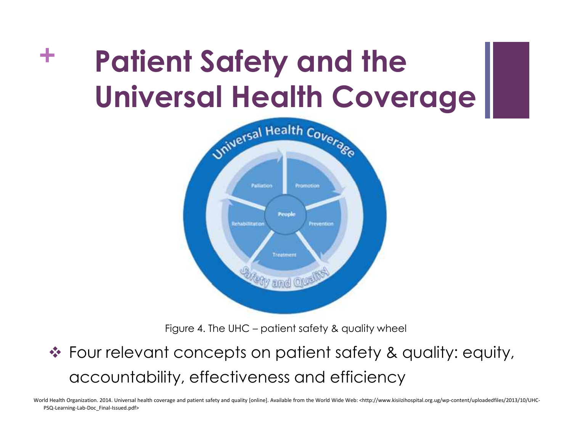## **+ Patient Safety and the Universal Health Coverage**



Figure 4. The UHC – patient safety & quality wheel

#### Four relevant concepts on patient safety & quality: equity, accountability, effectiveness and efficiency

World Health Organization. 2014. Universal health coverage and patient safety and quality [online]. Available from the World Wide Web: <http://www.kisiizihospital.org.ug/wp-content/uploadedfiles/2013/10/UHC-PSQ-Learning-Lab-Doc\_Final-Issued.pdf>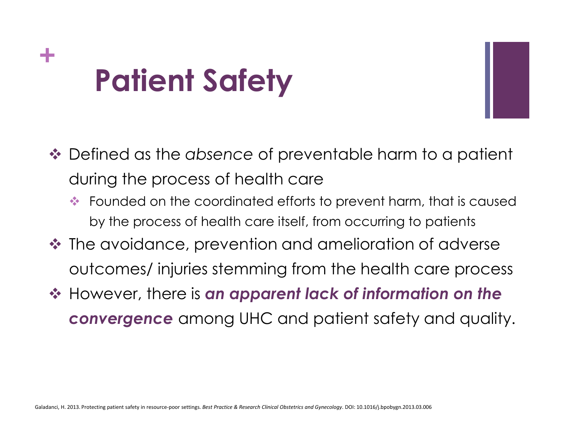## **+ Patient Safety**

- Defined as the *absence* of preventable harm to a patient during the process of health care
	- ◆ Founded on the coordinated efforts to prevent harm, that is caused by the process of health care itself, from occurring to patients
- ❖ The avoidance, prevention and amelioration of adverse outcomes/ injuries stemming from the health care process
- However, there is *an apparent lack of information on the convergence* among UHC and patient safety and quality.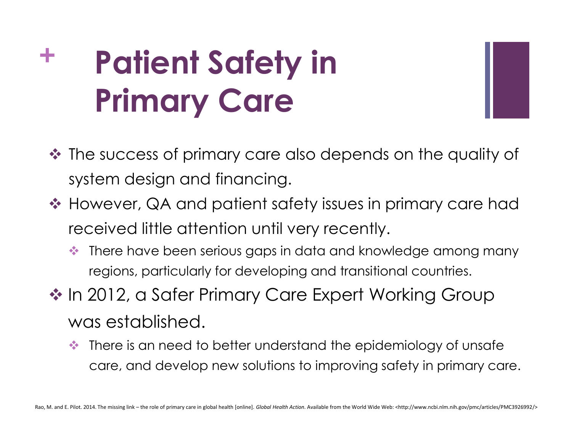# **+ Patient Safety in Primary Care**



- $\triangle$  **The success of primary care also depends on the quality of** system design and financing.
- ❖ However, QA and patient safety issues in primary care had received little attention until very recently.
	- There have been serious gaps in data and knowledge among many regions, particularly for developing and transitional countries.
- ◆ In 2012, a Safer Primary Care Expert Working Group was established.
	- $\triangle$  There is an need to better understand the epidemiology of unsafe care, and develop new solutions to improving safety in primary care.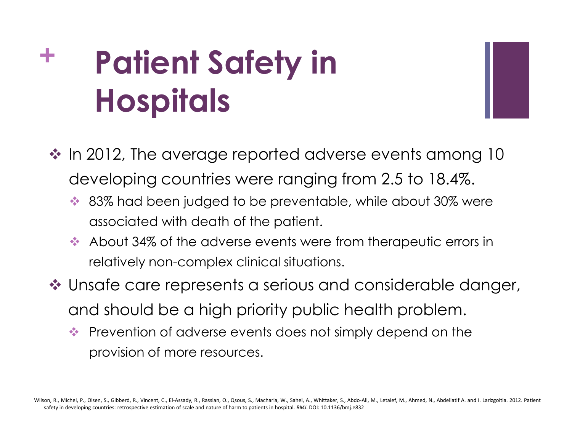# **+ Patient Safety in Hospitals**

 $\cdot$  In 2012, The average reported adverse events among 10 developing countries were ranging from 2.5 to 18.4%.

- ◆ 83% had been judged to be preventable, while about 30% were associated with death of the patient.
- About 34% of the adverse events were from therapeutic errors in relatively non-complex clinical situations.
- ❖ Unsafe care represents a serious and considerable danger, and should be a high priority public health problem.
	- **Prevention of adverse events does not simply depend on the** provision of more resources.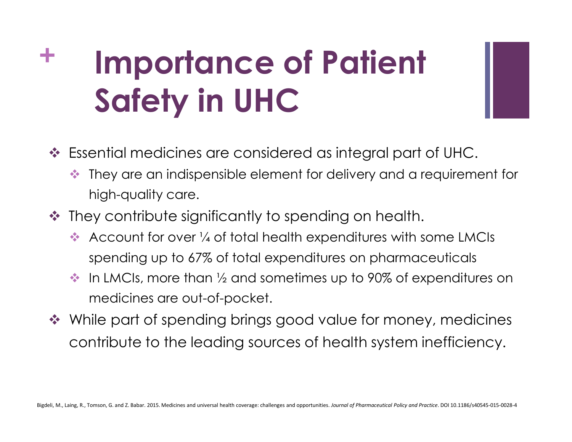# **+ Importance of Patient Safety in UHC**

- Essential medicines are considered as integral part of UHC.
	- They are an indispensible element for delivery and a requirement for high-quality care.
- ◆ They contribute significantly to spending on health.
	- Account for over  $\frac{1}{4}$  of total health expenditures with some LMCIs spending up to 67% of total expenditures on pharmaceuticals
	- $\cdot$  In LMCIs, more than  $\frac{1}{2}$  and sometimes up to 90% of expenditures on medicines are out-of-pocket.
- ◆ While part of spending brings good value for money, medicines contribute to the leading sources of health system inefficiency.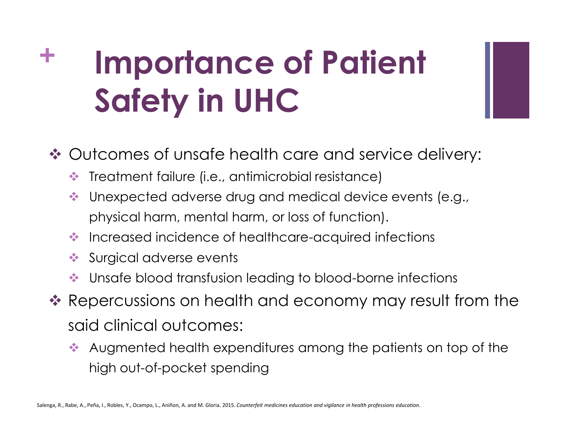# **+ Importance of Patient Safety in UHC**

Outcomes of unsafe health care and service delivery:

- Treatment failure (i.e., antimicrobial resistance)
- Unexpected adverse drug and medical device events (e.g., physical harm, mental harm, or loss of function).
- $\bullet\bullet$  Increased incidence of healthcare-acquired infections
- Surgical adverse events
- Unsafe blood transfusion leading to blood-borne infections
- ❖ Repercussions on health and economy may result from the said clinical outcomes:
	- Augmented health expenditures among the patients on top of the high out-of-pocket spending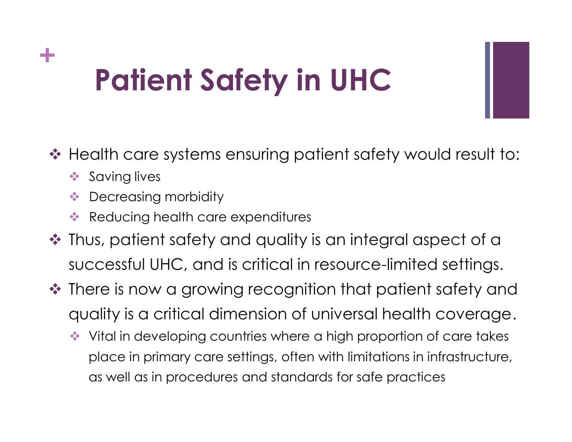### **+ Patient Safety in UHC**

- ◆ Health care systems ensuring patient safety would result to:
	- $\triangleleft$  Saving lives
	- **Decreasing morbidity**
	- Reducing health care expenditures
- ❖ Thus, patient safety and quality is an integral aspect of a successful UHC, and is critical in resource-limited settings.
- ❖ There is now a growing recognition that patient safety and quality is a critical dimension of universal health coverage.
	- ◆ Vital in developing countries where a high proportion of care takes place in primary care settings, often with limitations in infrastructure, as well as in procedures and standards for safe practices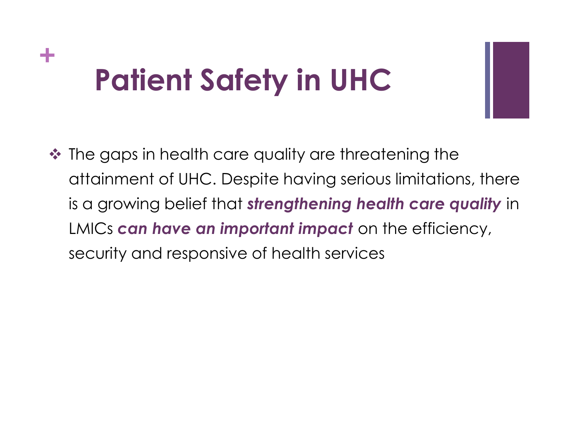### **+ Patient Safety in UHC**

◆ The gaps in health care quality are threatening the attainment of UHC. Despite having serious limitations, there is a growing belief that *strengthening health care quality* in LMICs *can have an important impact* on the efficiency, security and responsive of health services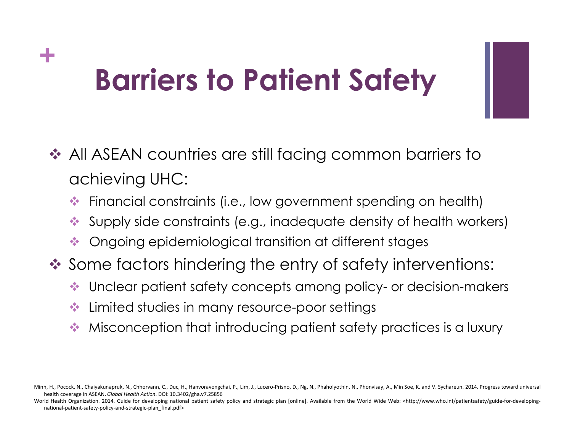### **+ Barriers to Patient Safety**

- ◆ All ASEAN countries are still facing common barriers to achieving UHC:
	- Financial constraints (i.e., low government spending on health)
	- Supply side constraints (e.g., inadequate density of health workers)
	- Ongoing epidemiological transition at different stages
- ◆ Some factors hindering the entry of safety interventions:
	- Unclear patient safety concepts among policy- or decision-makers
	- Limited studies in many resource-poor settings
	- Misconception that introducing patient safety practices is a luxury

World Health Organization. 2014. Guide for developing national patient safety policy and strategic plan [online]. Available from the World Wide Web: <http://www.who.int/patientsafety/guide-for-developingnational-patient-safety-policy-and-strategic-plan\_final.pdf>

Minh, H., Pocock, N., Chaiyakunapruk, N., Chhorvann, C., Duc, H., Hanvoravongchai, P., Lim, J., Lucero-Prisno, D., Ng, N., Phaholyothin, N., Phonvisay, A., Min Soe, K. and V. Sychareun. 2014. Progress toward universal health coverage in ASEAN. *Global Health Action*. DOI: 10.3402/gha.v7.25856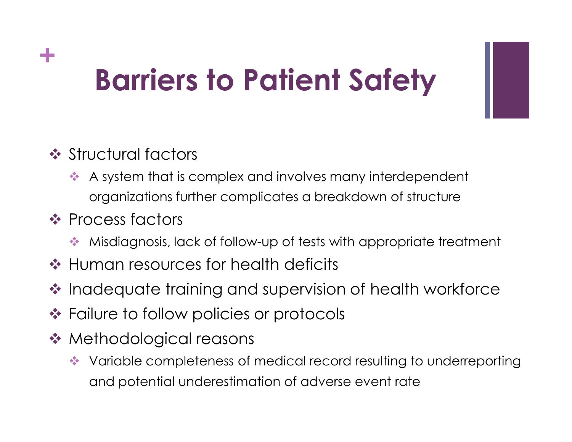### **+ Barriers to Patient Safety**

#### **❖ Structural factors**

 A system that is complex and involves many interdependent organizations further complicates a breakdown of structure

#### **❖ Process factors**

- Misdiagnosis, lack of follow-up of tests with appropriate treatment
- **❖ Human resources for health deficits**
- ❖ Inadequate training and supervision of health workforce
- ❖ Failure to follow policies or protocols
- **❖ Methodological reasons** 
	- Variable completeness of medical record resulting to underreporting and potential underestimation of adverse event rate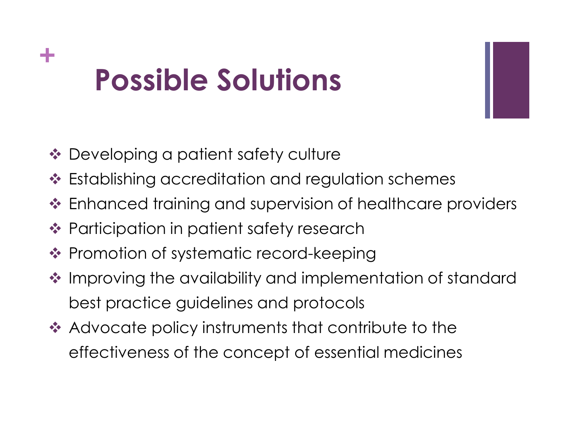## **+ Possible Solutions**

- **❖** Developing a patient safety culture
- ❖ Establishing accreditation and regulation schemes
- Enhanced training and supervision of healthcare providers
- **❖ Participation in patient safety research**
- ❖ Promotion of systematic record-keeping
- ❖ Improving the availability and implementation of standard best practice guidelines and protocols
- **★ Advocate policy instruments that contribute to the** effectiveness of the concept of essential medicines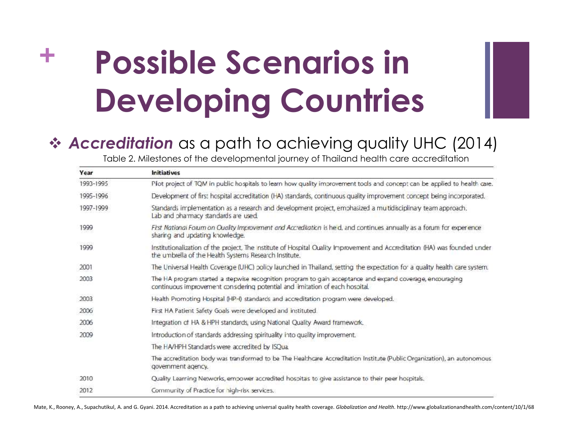#### *Accreditation* as a path to achieving quality UHC (2014)

Table 2. Milestones of the developmental journey of Thailand health care accreditation

| Year      | <b>Initiatives</b>                                                                                                                                                                       |  |  |  |
|-----------|------------------------------------------------------------------------------------------------------------------------------------------------------------------------------------------|--|--|--|
| 1993-1995 | Plot project of TQM in public hospitals to learn how quality improvement tools and concept can be applied to health care.                                                                |  |  |  |
| 1995-1996 | Development of first hospital accreditation (HA) standards, continuous quality improvement concept being incorporated.                                                                   |  |  |  |
| 1997-1999 | Standards implementation as a research and development project, emphasized a multidisciplinay team approach.<br>Lab and pharmacy standards are used.                                     |  |  |  |
| 1999      | First National Folum on Ouality Improvement and Accreditation is held, and continues annually as a forum for experience<br>sharing and updating knowledge.                               |  |  |  |
| 1999      | Institutionalization of the project, The institute of Hospital Quality Improvement and Accreditation (HA) was founded under<br>the umbrella of the Health Systems Research Institute.    |  |  |  |
| 2001      | The Universal Health Coverage (UHC) policy launched in Thailand, setting the expectation for a qualty health care system.                                                                |  |  |  |
| 2003      | The HA program started a stepwise recognition program to gain acceptance and expand coverage, encouraging<br>continuous improvement consdering potential and imitation of each hospital. |  |  |  |
| 2003      | Health Promoting Hospital (HP-I) standards and accreditation program were developed.                                                                                                     |  |  |  |
| 2006      | First HA Patient Safety Goals were developed and instituted.                                                                                                                             |  |  |  |
| 2006      | Integration of HA & HPH standards, using National Quality Award framework.                                                                                                               |  |  |  |
| 2009      | Introduction of standards addressing spirituality into quality improvement.                                                                                                              |  |  |  |
|           | The HA/HPH Standards were accredited by ISOua.                                                                                                                                           |  |  |  |
|           | The accreditation body was transformed to be The Healthcare Accreditation Institute (Public Organization), an autonomous<br>government agency.                                           |  |  |  |
| 2010      | Quality Learning Networks, empower accredited hospitas to give assistance to their peer hospitals.                                                                                       |  |  |  |
| 2012      | Community of Practice for high-risk services.                                                                                                                                            |  |  |  |

Mate, K., Rooney, A., Supachutikul, A. and G. Gyani. 2014. Accreditation as a path to achieving universal quality health coverage. Globalization and Health. http://www.globalizationandhealth.com/content/10/1/68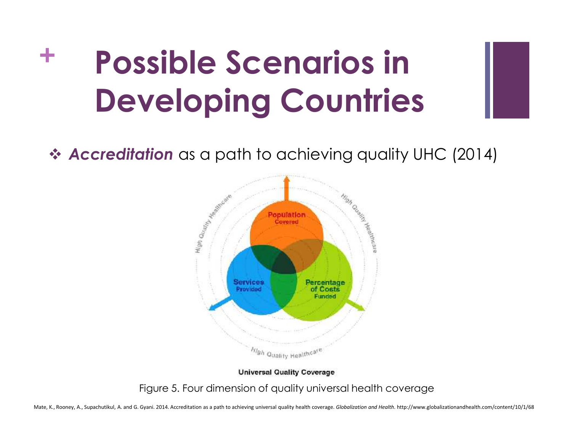*Accreditation* as a path to achieving quality UHC (2014)



**Universal Quality Coverage** 

Figure 5. Four dimension of quality universal health coverage

Mate, K., Rooney, A., Supachutikul, A. and G. Gyani. 2014. Accreditation as a path to achieving universal quality health coverage. Globalization and Health. http://www.globalizationandhealth.com/content/10/1/68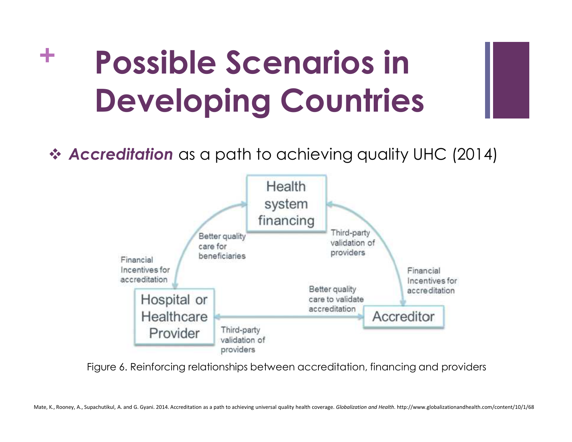*Accreditation* as a path to achieving quality UHC (2014)



Figure 6. Reinforcing relationships between accreditation, financing and providers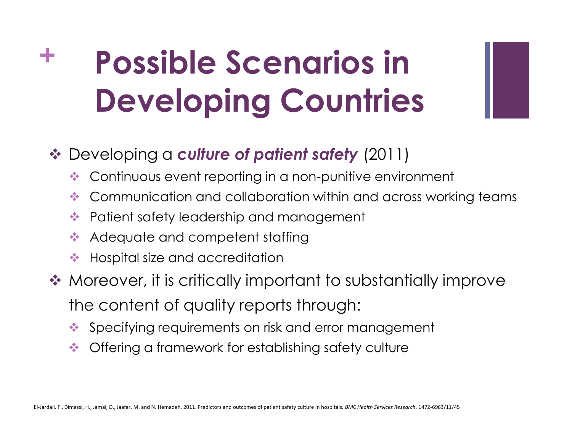#### Developing a *culture of patient safety* (2011)

- ◆ Continuous event reporting in a non-punitive environment
- Communication and collaboration within and across working teams
- Patient safety leadership and management
- Adequate and competent staffing
- **◆ Hospital size and accreditation**
- ◆ Moreover, it is critically important to substantially improve the content of quality reports through:
	- Specifying requirements on risk and error management
	- Offering a framework for establishing safety culture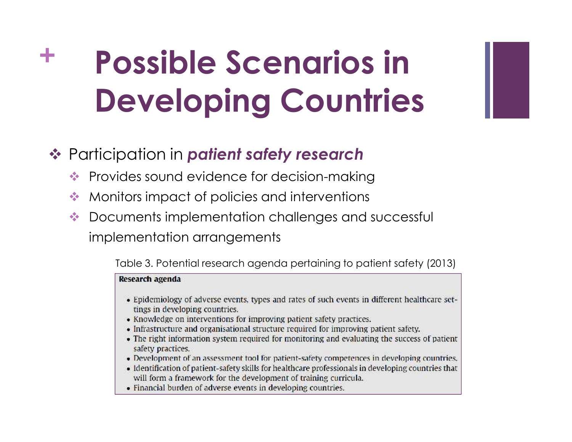#### Participation in *patient safety research*

- Provides sound evidence for decision-making
- Monitors impact of policies and interventions
- $\triangle$  Documents implementation challenges and successful implementation arrangements

Table 3. Potential research agenda pertaining to patient safety (2013)

#### Research agenda

- Epidemiology of adverse events, types and rates of such events in different healthcare settings in developing countries.
- Knowledge on interventions for improving patient safety practices.
- Infrastructure and organisational structure required for improving patient safety.
- The right information system required for monitoring and evaluating the success of patient safety practices.
- Development of an assessment tool for patient-safety competences in developing countries.
- Identification of patient-safety skills for healthcare professionals in developing countries that will form a framework for the development of training curricula.
- Financial burden of adverse events in developing countries.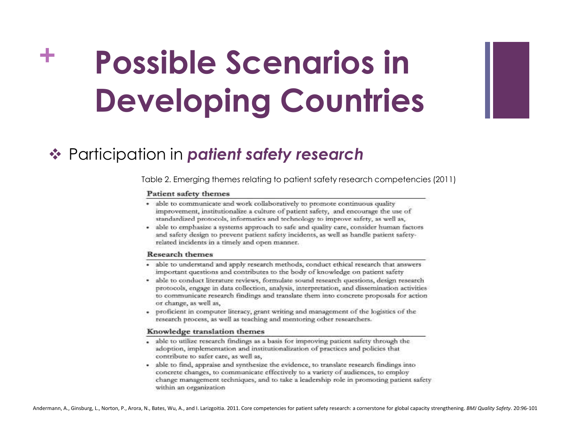

#### Participation in *patient safety research*

Table 2. Emerging themes relating to patient safety research competencies (2011)

#### Patient safety themes

- able to communicate and work collaboratively to promote continuous quality improvement, institutionalize a culture of patient safety, and encourage the use of standardized protocols, informatics and technology to improve safety, as well as,
- able to emphasize a systems approach to safe and quality care, consider human factors and safety design to prevent patient safety incidents, as well as handle patient safetyrelated incidents in a timely and open manner.

#### **Research themes**

- · able to understand and apply research methods, conduct ethical research that answers important questions and contributes to the body of knowledge on patient safety
- · able to conduct literature reviews, formulate sound research questions, design research protocols, engage in data collection, analysis, interpretation, and dissemination activities to communicate research findings and translate them into concrete proposals for action or change, as well as,
- proficient in computer literacy, grant writing and management of the logistics of the research process, as well as teaching and mentoring other researchers.

#### Knowledge translation themes

- able to utilize research findings as a basis for improving patient safety through the adoption, implementation and institutionalization of practices and policies that contribute to safer care, as well as,
- able to find, appraise and synthesize the evidence, to translate research findings into concrete changes, to communicate effectively to a variety of audiences, to employ change management techniques, and to take a leadership role in promoting patient safety within an organization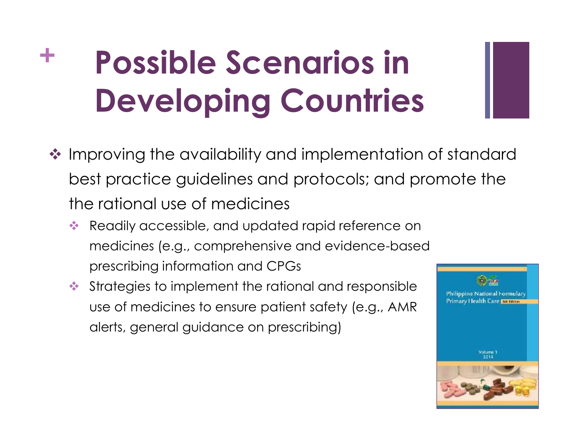- ❖ Improving the availability and implementation of standard best practice guidelines and protocols; and promote the the rational use of medicines
	- Readily accessible, and updated rapid reference on medicines (e.g., comprehensive and evidence-based prescribing information and CPGs
	- $\triangleq$  Strategies to implement the rational and responsible  $\parallel$  philippine National Formulary use of medicines to ensure patient safety (e.g., AMR Primary Health Care an outcom alerts, general guidance on prescribing)

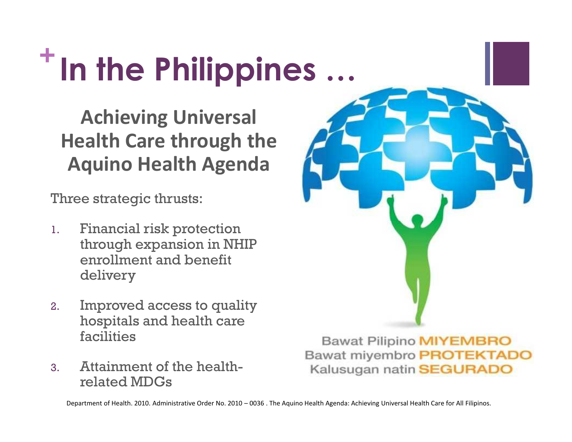### **+ In the Philippines …**

**Achieving Universal Health Care through the Aquino Health Agenda**

Three strategic thrusts:

- 1. Financial risk protection through expansion in NHIP enrollment and benefit delivery
- 2. Improved access to quality hospitals and health care facilities
- 3. Attainment of the health related MDGs

**Bawat Pilipino MIYEMBRO Bawat miyembro PROTEKTADO** Kalusugan natin SEGURADO

Department of Health. 2010. Administrative Order No. 2010 – 0036 . The Aquino Health Agenda: Achieving Universal Health Care for All Filipinos.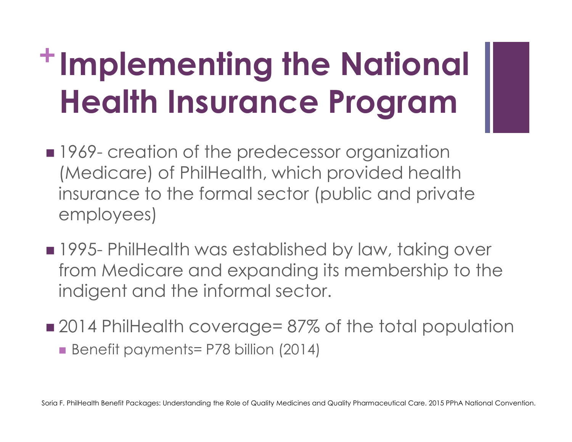## **<sup>+</sup>Implementing the National Health Insurance Program**

- 1969- creation of the predecessor organization (Medicare) of PhilHealth, which provided health insurance to the formal sector (public and private employees)
- **1995- PhilHealth was established by law, taking over** from Medicare and expanding its membership to the indigent and the informal sector.
- 2014 PhilHealth coverage= 87% of the total population Benefit payments= P78 billion (2014)

Soria F. PhilHealth Benefit Packages: Understanding the Role of Quality Medicines and Quality Pharmaceutical Care. 2015 PPhA National Convention.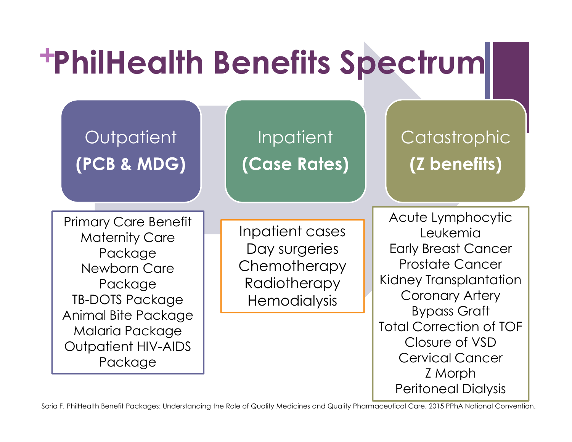# **+ PhilHealth Benefits Spectrum**

#### **Outpatient (PCB & MDG)**

Inpatient **(Case Rates)**

### **Catastrophic (Z benefits)**

Primary Care Benefit Maternity Care Package Newborn Care Package TB-DOTS Package Animal Bite Package Malaria Package Outpatient HIV-AIDS Package

Inpatient cases Day surgeries **Chemotherapy Radiotherapy Hemodialysis** 

Acute Lymphocytic Leukemia Early Breast Cancer Prostate Cancer Kidney Transplantation Coronary Artery Bypass Graft Total Correction of TOF Closure of VSD Cervical Cancer Z Morph Peritoneal Dialysis

Soria F. PhilHealth Benefit Packages: Understanding the Role of Quality Medicines and Quality Pharmaceutical Care. 2015 PPhA National Convention.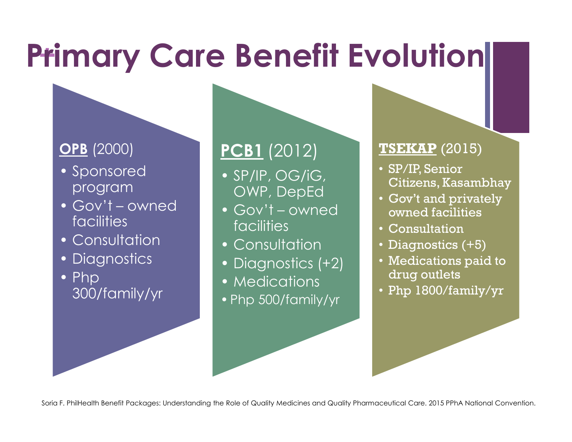## **Primary Care Benefit Evolution**

#### **OPB** (2000)

- Sponsored program
- Gov't owned facilities
- Consultation
- Diagnostics
- Php 300/family/yr

#### **PCB1** (2012)

- SP/IP, OG/iG, OWP, DepEd
- Gov't owned facilities
- Consultation
- Diagnostics (+2)
- Medications
- •Php 500/family/yr

#### **TSEKAP** (2015)

- SP/IP, Senior Citizens, Kasambhay
- Gov't and privately owned facilities
- Consultation
- Diagnostics (+5)
- Medications paid to drug outlets
- Php 1800/family/yr

Soria F. PhilHealth Benefit Packages: Understanding the Role of Quality Medicines and Quality Pharmaceutical Care. 2015 PPhA National Convention.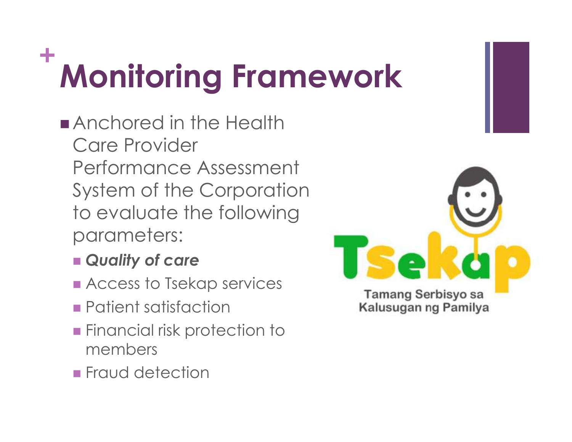### **+ Monitoring Framework**

- **Anchored in the Health** Care Provider Performance Assessment System of the Corporation to evaluate the following parameters:
	- *Quality of care*
	- **Access to Tsekap services**
	- **Patient satisfaction**
	- **Financial risk protection to** members
	- **Fraud detection**

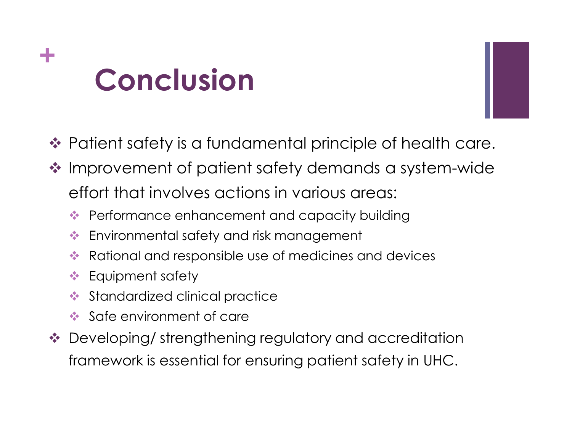### **+ Conclusion**



- ❖ Patient safety is a fundamental principle of health care.
- ❖ Improvement of patient safety demands a system-wide effort that involves actions in various areas:
	- Performance enhancement and capacity building
	- Environmental safety and risk management
	- Rational and responsible use of medicines and devices
	- **❖** Equipment safety
	- Standardized clinical practice
	- Safe environment of care
- ◆ Developing/ strengthening regulatory and accreditation framework is essential for ensuring patient safety in UHC.